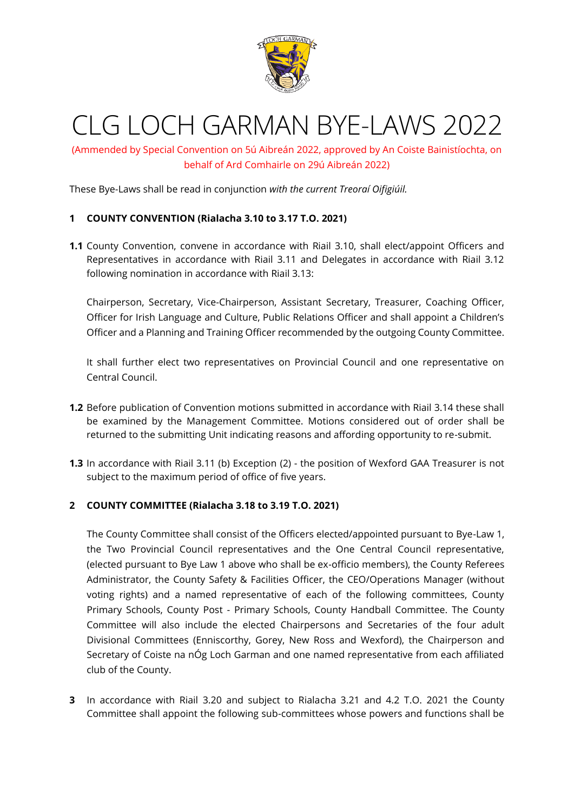

# CLG LOCH GARMAN BYE-LAWS 2022

(Ammended by Special Convention on 5ú Aibreán 2022, approved by An Coiste Bainistíochta, on behalf of Ard Comhairle on 29ú Aibreán 2022)

These Bye-Laws shall be read in conjunction *with the current Treoraí Oifigiúil.* 

#### **1 COUNTY CONVENTION (Rialacha 3.10 to 3.17 T.O. 2021)**

**1.1** County Convention, convene in accordance with Riail 3.10, shall elect/appoint Officers and Representatives in accordance with Riail 3.11 and Delegates in accordance with Riail 3.12 following nomination in accordance with Riail 3.13:

Chairperson, Secretary, Vice-Chairperson, Assistant Secretary, Treasurer, Coaching Officer, Officer for Irish Language and Culture, Public Relations Officer and shall appoint a Children's Officer and a Planning and Training Officer recommended by the outgoing County Committee.

It shall further elect two representatives on Provincial Council and one representative on Central Council.

- **1.2** Before publication of Convention motions submitted in accordance with Riail 3.14 these shall be examined by the Management Committee. Motions considered out of order shall be returned to the submitting Unit indicating reasons and affording opportunity to re-submit.
- **1.3** In accordance with Riail 3.11 (b) Exception (2) the position of Wexford GAA Treasurer is not subject to the maximum period of office of five years.

#### **2 COUNTY COMMITTEE (Rialacha 3.18 to 3.19 T.O. 2021)**

The County Committee shall consist of the Officers elected/appointed pursuant to Bye-Law 1, the Two Provincial Council representatives and the One Central Council representative, (elected pursuant to Bye Law 1 above who shall be ex-officio members), the County Referees Administrator, the County Safety & Facilities Officer, the CEO/Operations Manager (without voting rights) and a named representative of each of the following committees, County Primary Schools, County Post - Primary Schools, County Handball Committee. The County Committee will also include the elected Chairpersons and Secretaries of the four adult Divisional Committees (Enniscorthy, Gorey, New Ross and Wexford), the Chairperson and Secretary of Coiste na nÓg Loch Garman and one named representative from each affiliated club of the County.

**3** In accordance with Riail 3.20 and subject to Rialacha 3.21 and 4.2 T.O. 2021 the County Committee shall appoint the following sub-committees whose powers and functions shall be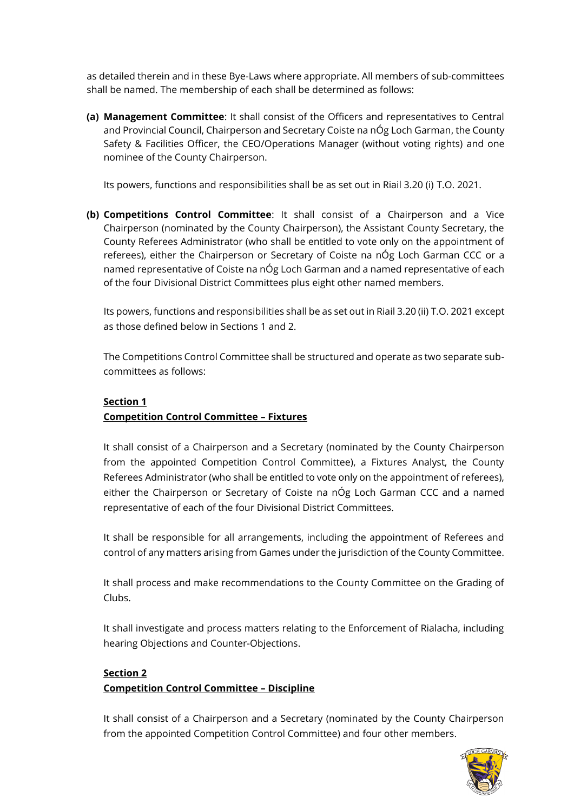as detailed therein and in these Bye-Laws where appropriate. All members of sub-committees shall be named. The membership of each shall be determined as follows:

**(a) Management Committee**: It shall consist of the Officers and representatives to Central and Provincial Council, Chairperson and Secretary Coiste na nÓg Loch Garman, the County Safety & Facilities Officer, the CEO/Operations Manager (without voting rights) and one nominee of the County Chairperson.

Its powers, functions and responsibilities shall be as set out in Riail 3.20 (i) T.O. 2021.

**(b) Competitions Control Committee**: It shall consist of a Chairperson and a Vice Chairperson (nominated by the County Chairperson), the Assistant County Secretary, the County Referees Administrator (who shall be entitled to vote only on the appointment of referees), either the Chairperson or Secretary of Coiste na nÓg Loch Garman CCC or a named representative of Coiste na nÓg Loch Garman and a named representative of each of the four Divisional District Committees plus eight other named members.

Its powers, functions and responsibilities shall be as set out in Riail 3.20 (ii) T.O. 2021 except as those defined below in Sections 1 and 2.

The Competitions Control Committee shall be structured and operate as two separate subcommittees as follows:

## **Section 1**

## **Competition Control Committee – Fixtures**

It shall consist of a Chairperson and a Secretary (nominated by the County Chairperson from the appointed Competition Control Committee), a Fixtures Analyst, the County Referees Administrator (who shall be entitled to vote only on the appointment of referees), either the Chairperson or Secretary of Coiste na nÓg Loch Garman CCC and a named representative of each of the four Divisional District Committees.

It shall be responsible for all arrangements, including the appointment of Referees and control of any matters arising from Games under the jurisdiction of the County Committee.

It shall process and make recommendations to the County Committee on the Grading of Clubs.

It shall investigate and process matters relating to the Enforcement of Rialacha, including hearing Objections and Counter-Objections.

## **Section 2 Competition Control Committee – Discipline**

It shall consist of a Chairperson and a Secretary (nominated by the County Chairperson from the appointed Competition Control Committee) and four other members.

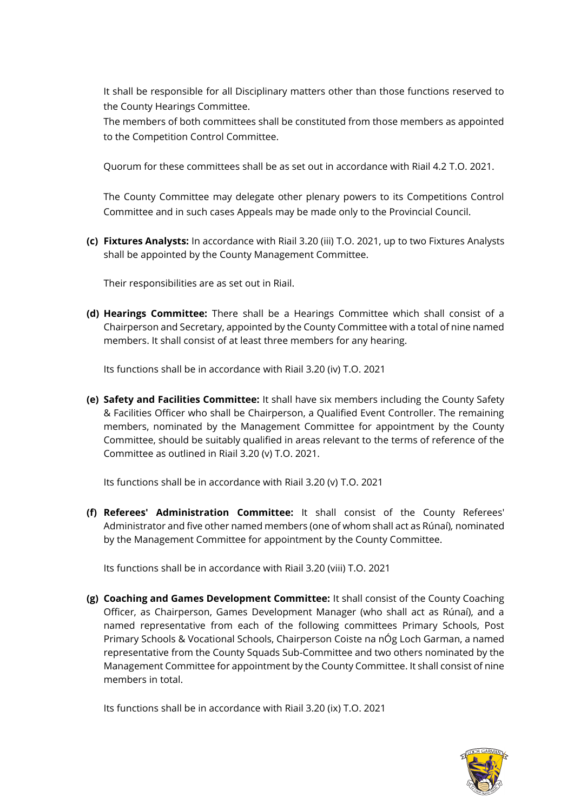It shall be responsible for all Disciplinary matters other than those functions reserved to the County Hearings Committee.

The members of both committees shall be constituted from those members as appointed to the Competition Control Committee.

Quorum for these committees shall be as set out in accordance with Riail 4.2 T.O. 2021.

The County Committee may delegate other plenary powers to its Competitions Control Committee and in such cases Appeals may be made only to the Provincial Council.

**(c) Fixtures Analysts:** In accordance with Riail 3.20 (iii) T.O. 2021, up to two Fixtures Analysts shall be appointed by the County Management Committee.

Their responsibilities are as set out in Riail.

**(d) Hearings Committee:** There shall be a Hearings Committee which shall consist of a Chairperson and Secretary, appointed by the County Committee with a total of nine named members. It shall consist of at least three members for any hearing.

Its functions shall be in accordance with Riail 3.20 (iv) T.O. 2021

**(e) Safety and Facilities Committee:** It shall have six members including the County Safety & Facilities Officer who shall be Chairperson, a Qualified Event Controller. The remaining members, nominated by the Management Committee for appointment by the County Committee, should be suitably qualified in areas relevant to the terms of reference of the Committee as outlined in Riail 3.20 (v) T.O. 2021.

Its functions shall be in accordance with Riail 3.20 (v) T.O. 2021

**(f) Referees' Administration Committee:** It shall consist of the County Referees' Administrator and five other named members (one of whom shall act as Rúnaí)*,* nominated by the Management Committee for appointment by the County Committee.

Its functions shall be in accordance with Riail 3.20 (viii) T.O. 2021

**(g) Coaching and Games Development Committee:** It shall consist of the County Coaching Officer, as Chairperson, Games Development Manager (who shall act as Rúnaí), and a named representative from each of the following committees Primary Schools, Post Primary Schools & Vocational Schools, Chairperson Coiste na nÓg Loch Garman, a named representative from the County Squads Sub-Committee and two others nominated by the Management Committee for appointment by the County Committee. It shall consist of nine members in total.

Its functions shall be in accordance with Riail 3.20 (ix) T.O. 2021

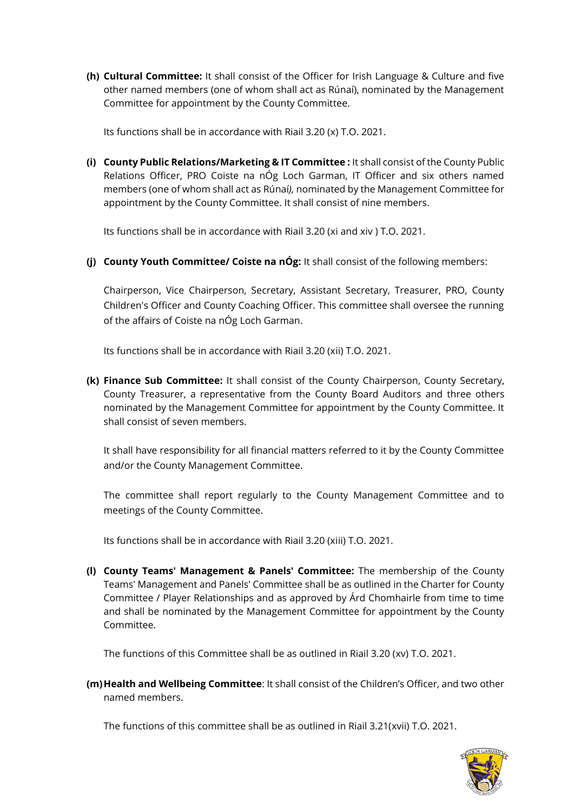**(h) Cultural Committee:** It shall consist of the Officer for Irish Language & Culture and five other named members (one of whom shall act as Rúnaí), nominated by the Management Committee for appointment by the County Committee.

Its functions shall be in accordance with Riail 3.20 (x) T.O. 2021.

**(i) County Public Relations/Marketing & IT Committee :** It shall consist of the County Public Relations Officer, PRO Coiste na nÓg Loch Garman, IT Officer and six others named members (one of whom shall act as Rúnaí*),* nominated by the Management Committee for appointment by the County Committee. It shall consist of nine members.

Its functions shall be in accordance with Riail 3.20 (xi and xiv ) T.O. 2021.

**(j) County Youth Committee/ Coiste na nÓg:** It shall consist of the following members:

Chairperson, Vice Chairperson, Secretary, Assistant Secretary, Treasurer, PRO, County Children's Officer and County Coaching Officer. This committee shall oversee the running of the affairs of Coiste na nÓg Loch Garman.

Its functions shall be in accordance with Riail 3.20 (xii) T.O. 2021.

**(k) Finance Sub Committee:** It shall consist of the County Chairperson, County Secretary, County Treasurer, a representative from the County Board Auditors and three others nominated by the Management Committee for appointment by the County Committee. It shall consist of seven members.

It shall have responsibility for all financial matters referred to it by the County Committee and/or the County Management Committee.

The committee shall report regularly to the County Management Committee and to meetings of the County Committee.

Its functions shall be in accordance with Riail 3.20 (xiii) T.O. 2021.

**(l) County Teams' Management & Panels' Committee:** The membership of the County Teams' Management and Panels' Committee shall be as outlined in the Charter for County Committee / Player Relationships and as approved by Árd Chomhairle from time to time and shall be nominated by the Management Committee for appointment by the County Committee.

The functions of this Committee shall be as outlined in Riail 3.20 (xv) T.O. 2021.

**(m)Health and Wellbeing Committee**: It shall consist of the Children's Officer, and two other named members.

The functions of this committee shall be as outlined in Riail 3.21(xvii) T.O. 2021.

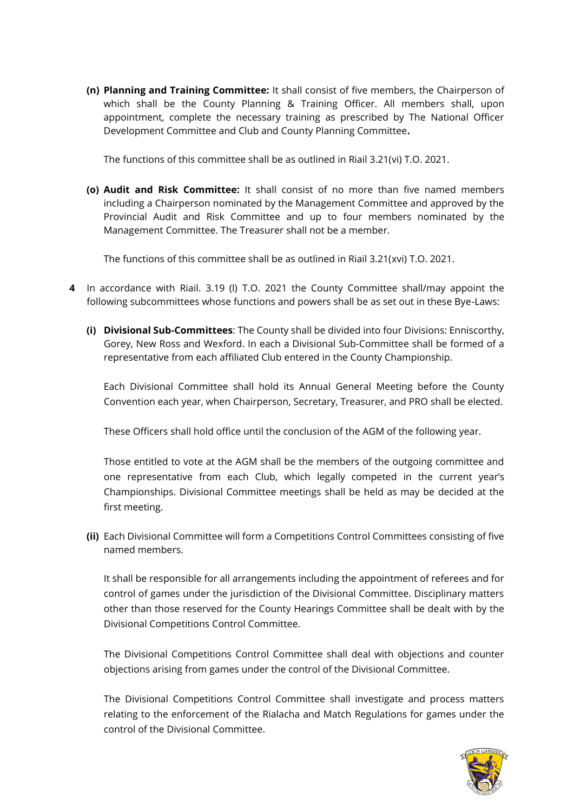**(n) Planning and Training Committee:** It shall consist of five members, the Chairperson of which shall be the County Planning & Training Officer. All members shall, upon appointment, complete the necessary training as prescribed by The National Officer Development Committee and Club and County Planning Committee**.** 

The functions of this committee shall be as outlined in Riail 3.21(vi) T.O. 2021.

**(o) Audit and Risk Committee:** It shall consist of no more than five named members including a Chairperson nominated by the Management Committee and approved by the Provincial Audit and Risk Committee and up to four members nominated by the Management Committee. The Treasurer shall not be a member.

The functions of this committee shall be as outlined in Riail 3.21(xvi) T.O. 2021.

- **4** In accordance with Riail. 3.19 (l) T.O. 2021 the County Committee shall/may appoint the following subcommittees whose functions and powers shall be as set out in these Bye-Laws:
	- **(i) Divisional Sub-Committees**: The County shall be divided into four Divisions: Enniscorthy, Gorey, New Ross and Wexford. In each a Divisional Sub-Committee shall be formed of a representative from each affiliated Club entered in the County Championship.

Each Divisional Committee shall hold its Annual General Meeting before the County Convention each year, when Chairperson, Secretary, Treasurer, and PRO shall be elected.

These Officers shall hold office until the conclusion of the AGM of the following year.

Those entitled to vote at the AGM shall be the members of the outgoing committee and one representative from each Club, which legally competed in the current year's Championships. Divisional Committee meetings shall be held as may be decided at the first meeting.

**(ii)** Each Divisional Committee will form a Competitions Control Committees consisting of five named members.

It shall be responsible for all arrangements including the appointment of referees and for control of games under the jurisdiction of the Divisional Committee. Disciplinary matters other than those reserved for the County Hearings Committee shall be dealt with by the Divisional Competitions Control Committee.

The Divisional Competitions Control Committee shall deal with objections and counter objections arising from games under the control of the Divisional Committee.

The Divisional Competitions Control Committee shall investigate and process matters relating to the enforcement of the Rialacha and Match Regulations for games under the control of the Divisional Committee.

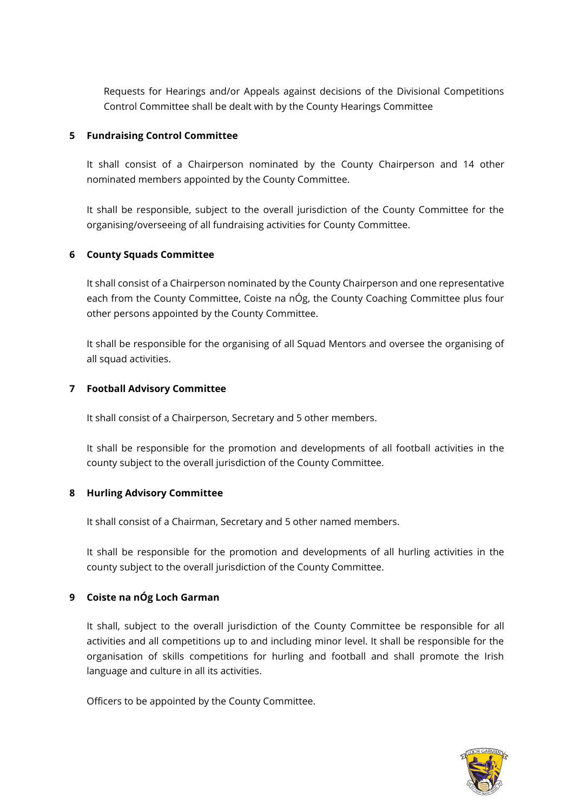Requests for Hearings and/or Appeals against decisions of the Divisional Competitions Control Committee shall be dealt with by the County Hearings Committee

#### **5 Fundraising Control Committee**

It shall consist of a Chairperson nominated by the County Chairperson and 14 other nominated members appointed by the County Committee.

It shall be responsible, subject to the overall jurisdiction of the County Committee for the organising/overseeing of all fundraising activities for County Committee.

#### **6 County Squads Committee**

It shall consist of a Chairperson nominated by the County Chairperson and one representative each from the County Committee, Coiste na nÓg, the County Coaching Committee plus four other persons appointed by the County Committee.

It shall be responsible for the organising of all Squad Mentors and oversee the organising of all squad activities.

#### **7 Football Advisory Committee**

It shall consist of a Chairperson, Secretary and 5 other members.

It shall be responsible for the promotion and developments of all football activities in the county subject to the overall jurisdiction of the County Committee.

#### **8 Hurling Advisory Committee**

It shall consist of a Chairman, Secretary and 5 other named members.

It shall be responsible for the promotion and developments of all hurling activities in the county subject to the overall jurisdiction of the County Committee.

## **9 Coiste na nÓg Loch Garman**

It shall, subject to the overall jurisdiction of the County Committee be responsible for all activities and all competitions up to and including minor level. It shall be responsible for the organisation of skills competitions for hurling and football and shall promote the Irish language and culture in all its activities.

Officers to be appointed by the County Committee.

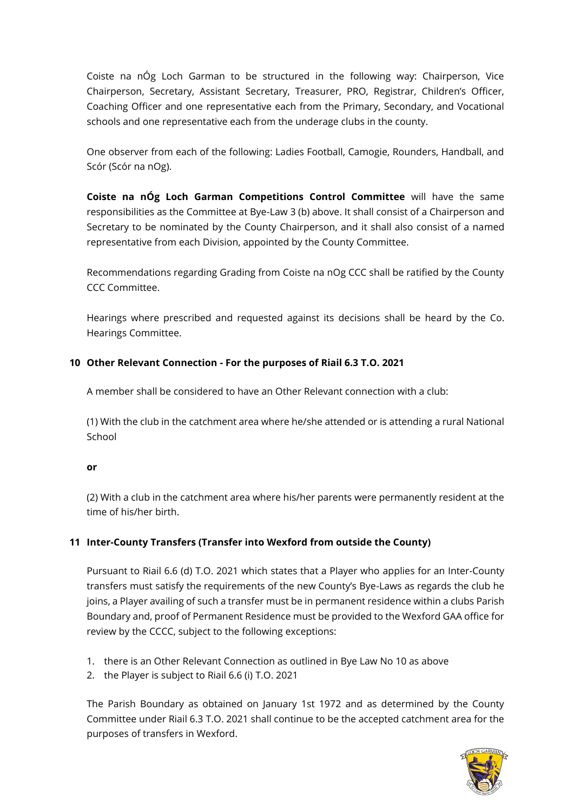Coiste na nÓg Loch Garman to be structured in the following way: Chairperson, Vice Chairperson, Secretary, Assistant Secretary, Treasurer, PRO, Registrar, Children's Officer, Coaching Officer and one representative each from the Primary, Secondary, and Vocational schools and one representative each from the underage clubs in the county.

One observer from each of the following: Ladies Football, Camogie, Rounders, Handball, and Scór (Scór na nOg).

**Coiste na nÓg Loch Garman Competitions Control Committee** will have the same responsibilities as the Committee at Bye-Law 3 (b) above. It shall consist of a Chairperson and Secretary to be nominated by the County Chairperson, and it shall also consist of a named representative from each Division, appointed by the County Committee.

Recommendations regarding Grading from Coiste na nOg CCC shall be ratified by the County CCC Committee.

Hearings where prescribed and requested against its decisions shall be heard by the Co. Hearings Committee.

## **10 Other Relevant Connection - For the purposes of Riail 6.3 T.O. 2021**

A member shall be considered to have an Other Relevant connection with a club:

(1) With the club in the catchment area where he/she attended or is attending a rural National School

#### **or**

(2) With a club in the catchment area where his/her parents were permanently resident at the time of his/her birth.

## **11 Inter-County Transfers (Transfer into Wexford from outside the County)**

Pursuant to Riail 6.6 (d) T.O. 2021 which states that a Player who applies for an Inter-County transfers must satisfy the requirements of the new County's Bye-Laws as regards the club he joins, a Player availing of such a transfer must be in permanent residence within a clubs Parish Boundary and, proof of Permanent Residence must be provided to the Wexford GAA office for review by the CCCC, subject to the following exceptions:

- 1. there is an Other Relevant Connection as outlined in Bye Law No 10 as above
- 2. the Player is subject to Riail 6.6 (i) T.O. 2021

The Parish Boundary as obtained on January 1st 1972 and as determined by the County Committee under Riail 6.3 T.O. 2021 shall continue to be the accepted catchment area for the purposes of transfers in Wexford.

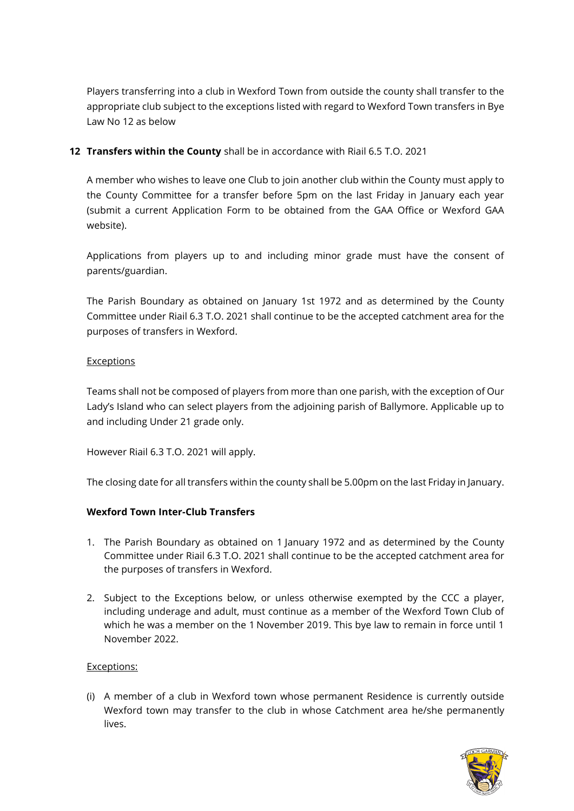Players transferring into a club in Wexford Town from outside the county shall transfer to the appropriate club subject to the exceptions listed with regard to Wexford Town transfers in Bye Law No 12 as below

#### **12 Transfers within the County** shall be in accordance with Riail 6.5 T.O. 2021

A member who wishes to leave one Club to join another club within the County must apply to the County Committee for a transfer before 5pm on the last Friday in January each year (submit a current Application Form to be obtained from the GAA Office or Wexford GAA website).

Applications from players up to and including minor grade must have the consent of parents/guardian.

The Parish Boundary as obtained on January 1st 1972 and as determined by the County Committee under Riail 6.3 T.O. 2021 shall continue to be the accepted catchment area for the purposes of transfers in Wexford.

#### **Exceptions**

Teams shall not be composed of players from more than one parish, with the exception of Our Lady's Island who can select players from the adjoining parish of Ballymore. Applicable up to and including Under 21 grade only.

However Riail 6.3 T.O. 2021 will apply.

The closing date for all transfers within the county shall be 5.00pm on the last Friday in January.

## **Wexford Town Inter-Club Transfers**

- 1. The Parish Boundary as obtained on 1 January 1972 and as determined by the County Committee under Riail 6.3 T.O. 2021 shall continue to be the accepted catchment area for the purposes of transfers in Wexford.
- 2. Subject to the Exceptions below, or unless otherwise exempted by the CCC a player, including underage and adult, must continue as a member of the Wexford Town Club of which he was a member on the 1 November 2019. This bye law to remain in force until 1 November 2022.

#### Exceptions:

(i) A member of a club in Wexford town whose permanent Residence is currently outside Wexford town may transfer to the club in whose Catchment area he/she permanently lives.

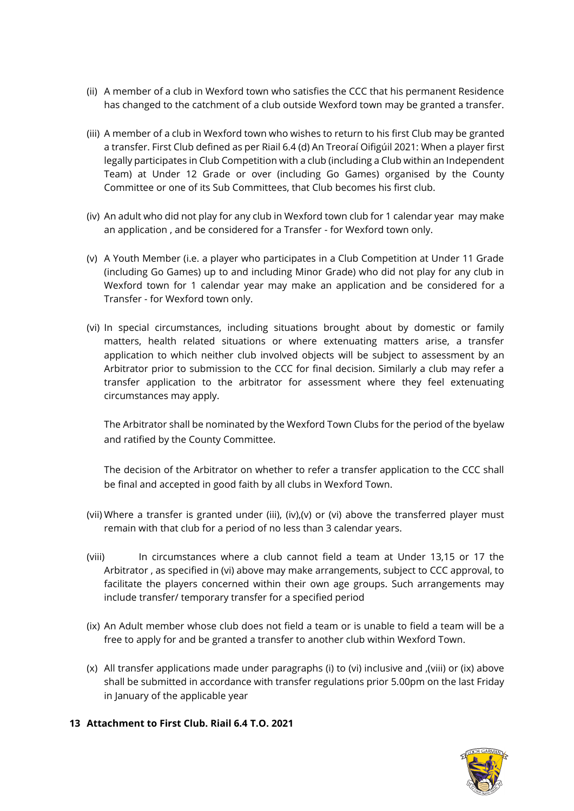- (ii) A member of a club in Wexford town who satisfies the CCC that his permanent Residence has changed to the catchment of a club outside Wexford town may be granted a transfer.
- (iii) A member of a club in Wexford town who wishes to return to his first Club may be granted a transfer. First Club defined as per Riail 6.4 (d) An Treoraí Oifigúil 2021: When a player first legally participates in Club Competition with a club (including a Club within an Independent Team) at Under 12 Grade or over (including Go Games) organised by the County Committee or one of its Sub Committees, that Club becomes his first club.
- (iv) An adult who did not play for any club in Wexford town club for 1 calendar year may make an application , and be considered for a Transfer - for Wexford town only.
- (v) A Youth Member (i.e. a player who participates in a Club Competition at Under 11 Grade (including Go Games) up to and including Minor Grade) who did not play for any club in Wexford town for 1 calendar year may make an application and be considered for a Transfer - for Wexford town only.
- (vi) In special circumstances, including situations brought about by domestic or family matters, health related situations or where extenuating matters arise, a transfer application to which neither club involved objects will be subject to assessment by an Arbitrator prior to submission to the CCC for final decision. Similarly a club may refer a transfer application to the arbitrator for assessment where they feel extenuating circumstances may apply.

The Arbitrator shall be nominated by the Wexford Town Clubs for the period of the byelaw and ratified by the County Committee.

The decision of the Arbitrator on whether to refer a transfer application to the CCC shall be final and accepted in good faith by all clubs in Wexford Town.

- (vii) Where a transfer is granted under (iii), (iv),(v) or (vi) above the transferred player must remain with that club for a period of no less than 3 calendar years.
- (viii) In circumstances where a club cannot field a team at Under 13,15 or 17 the Arbitrator , as specified in (vi) above may make arrangements, subject to CCC approval, to facilitate the players concerned within their own age groups. Such arrangements may include transfer/ temporary transfer for a specified period
- (ix) An Adult member whose club does not field a team or is unable to field a team will be a free to apply for and be granted a transfer to another club within Wexford Town.
- (x) All transfer applications made under paragraphs (i) to (vi) inclusive and ,(viii) or (ix) above shall be submitted in accordance with transfer regulations prior 5.00pm on the last Friday in January of the applicable year
- **13 Attachment to First Club. Riail 6.4 T.O. 2021**

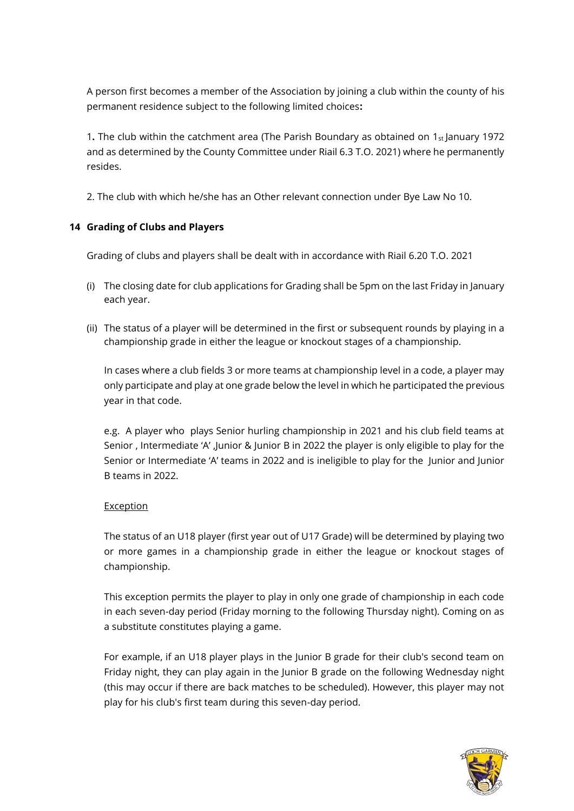A person first becomes a member of the Association by joining a club within the county of his permanent residence subject to the following limited choices**:** 

1. The club within the catchment area (The Parish Boundary as obtained on 1<sub>st</sub> January 1972 and as determined by the County Committee under Riail 6.3 T.O. 2021) where he permanently resides.

2. The club with which he/she has an Other relevant connection under Bye Law No 10.

## **14 Grading of Clubs and Players**

Grading of clubs and players shall be dealt with in accordance with Riail 6.20 T.O. 2021

- (i) The closing date for club applications for Grading shall be 5pm on the last Friday in January each year.
- (ii) The status of a player will be determined in the first or subsequent rounds by playing in a championship grade in either the league or knockout stages of a championship.

In cases where a club fields 3 or more teams at championship level in a code, a player may only participate and play at one grade below the level in which he participated the previous year in that code.

e.g. A player who plays Senior hurling championship in 2021 and his club field teams at Senior , Intermediate 'A' ,Junior & Junior B in 2022 the player is only eligible to play for the Senior or Intermediate 'A' teams in 2022 and is ineligible to play for the Junior and Junior B teams in 2022.

#### Exception

The status of an U18 player (first year out of U17 Grade) will be determined by playing two or more games in a championship grade in either the league or knockout stages of championship.

This exception permits the player to play in only one grade of championship in each code in each seven-day period (Friday morning to the following Thursday night). Coming on as a substitute constitutes playing a game.

For example, if an U18 player plays in the Junior B grade for their club's second team on Friday night, they can play again in the Junior B grade on the following Wednesday night (this may occur if there are back matches to be scheduled). However, this player may not play for his club's first team during this seven-day period.

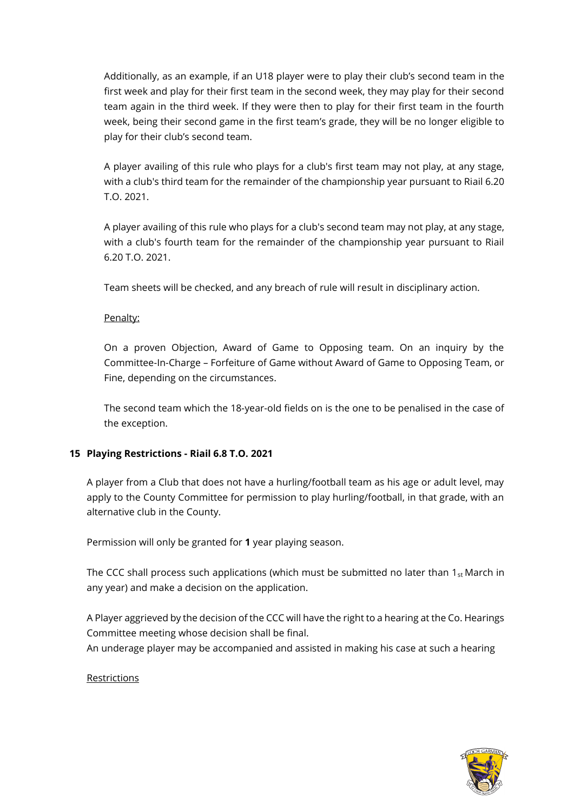Additionally, as an example, if an U18 player were to play their club's second team in the first week and play for their first team in the second week, they may play for their second team again in the third week. If they were then to play for their first team in the fourth week, being their second game in the first team's grade, they will be no longer eligible to play for their club's second team.

A player availing of this rule who plays for a club's first team may not play, at any stage, with a club's third team for the remainder of the championship year pursuant to Riail 6.20 T.O. 2021.

A player availing of this rule who plays for a club's second team may not play, at any stage, with a club's fourth team for the remainder of the championship year pursuant to Riail 6.20 T.O. 2021.

Team sheets will be checked, and any breach of rule will result in disciplinary action.

#### Penalty:

On a proven Objection, Award of Game to Opposing team. On an inquiry by the Committee-In-Charge – Forfeiture of Game without Award of Game to Opposing Team, or Fine, depending on the circumstances.

The second team which the 18-year-old fields on is the one to be penalised in the case of the exception.

#### **15 Playing Restrictions - Riail 6.8 T.O. 2021**

A player from a Club that does not have a hurling/football team as his age or adult level, may apply to the County Committee for permission to play hurling/football, in that grade, with an alternative club in the County.

Permission will only be granted for **1** year playing season.

The CCC shall process such applications (which must be submitted no later than  $1_{st}$  March in any year) and make a decision on the application.

A Player aggrieved by the decision of the CCC will have the right to a hearing at the Co. Hearings Committee meeting whose decision shall be final.

An underage player may be accompanied and assisted in making his case at such a hearing

#### **Restrictions**